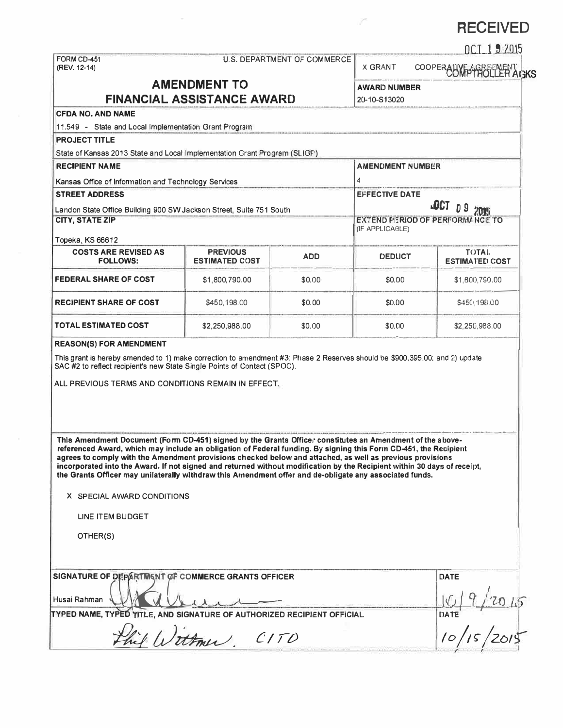# **RECEIVED**

| FORM CD-451<br>(REV. 12-14)                                                                                                                                                                                                                                                                                                                |                                    |            |                                             | DCT 1.9 2015           |  |
|--------------------------------------------------------------------------------------------------------------------------------------------------------------------------------------------------------------------------------------------------------------------------------------------------------------------------------------------|------------------------------------|------------|---------------------------------------------|------------------------|--|
|                                                                                                                                                                                                                                                                                                                                            | <b>U.S. DEPARTMENT OF COMMERCE</b> |            | <b>X GRANT</b>                              | COOPERALLY FOLLER AGKS |  |
| <b>AMENDMENT TO</b>                                                                                                                                                                                                                                                                                                                        |                                    |            | <b>AWARD NUMBER</b>                         |                        |  |
| <b>FINANCIAL ASSISTANCE AWARD</b>                                                                                                                                                                                                                                                                                                          |                                    |            | 20-10-S13020                                |                        |  |
| <b>CFDA NO. AND NAME</b>                                                                                                                                                                                                                                                                                                                   |                                    |            |                                             |                        |  |
| 11.549 - State and Local Implementation Grant Program                                                                                                                                                                                                                                                                                      |                                    |            |                                             |                        |  |
| <b>PROJECT TITLE</b>                                                                                                                                                                                                                                                                                                                       |                                    |            |                                             |                        |  |
| State of Kansas 2013 State and Local Implementation Grant Program (SLIGF)                                                                                                                                                                                                                                                                  |                                    |            |                                             |                        |  |
| <b>RECIPIENT NAME</b>                                                                                                                                                                                                                                                                                                                      |                                    |            | <b>AMENDMENT NUMBER</b>                     |                        |  |
| Kansas Office of Information and Technology Services                                                                                                                                                                                                                                                                                       |                                    |            | 4                                           |                        |  |
| <b>STREET ADDRESS</b>                                                                                                                                                                                                                                                                                                                      |                                    |            | <b>EFFECTIVE DATE</b><br><b>LOCT</b><br>D 9 |                        |  |
| Landon State Office Building 900 SW Jackson Street, Suite 751 South                                                                                                                                                                                                                                                                        |                                    |            |                                             |                        |  |
| <b>CITY, STATE ZIP</b>                                                                                                                                                                                                                                                                                                                     |                                    |            | EXTEND PERIOD OF PERFORMANCE TO             |                        |  |
|                                                                                                                                                                                                                                                                                                                                            |                                    |            | (IF APPLICABLE)                             |                        |  |
| Topeka, KS 66612<br><b>COSTS ARE REVISED AS</b>                                                                                                                                                                                                                                                                                            | <b>PREVIOUS</b>                    |            |                                             | <b>TOTAL</b>           |  |
| <b>FOLLOWS:</b>                                                                                                                                                                                                                                                                                                                            | <b>ESTIMATED COST</b>              | <b>ADD</b> | <b>DEDUCT</b>                               | <b>ESTIMATED COST</b>  |  |
| <b>FEDERAL SHARE OF COST</b>                                                                                                                                                                                                                                                                                                               | \$1,800,790.00                     | \$0.00     | \$0.00                                      | \$1,800,790.00         |  |
| <b>RECIPIENT SHARE OF COST</b>                                                                                                                                                                                                                                                                                                             | \$450,198.00                       | \$0.00     | \$0.00                                      | \$450,198.00           |  |
| <b>TOTAL ESTIMATED COST</b>                                                                                                                                                                                                                                                                                                                | \$2,250,988.00                     | \$0.00     | \$0.00                                      | \$2,250,988.00         |  |
|                                                                                                                                                                                                                                                                                                                                            |                                    |            |                                             |                        |  |
| This Amendment Document (Form CD-451) signed by the Grants Officer constitutes an Amendment of the above-<br>referenced Award, which may include an obligation of Federal funding. By signing this Form CD-451, the Recipient<br>agrees to comply with the Amendment provisions checked below and attached, as well as previous provisions |                                    |            |                                             |                        |  |
| incorporated into the Award. If not signed and returned without modification by the Recipient within 30 days of receipt,<br>the Grants Officer may unilaterally withdraw this Amendment offer and de-obligate any associated funds.<br>X SPECIAL AWARD CONDITIONS                                                                          |                                    |            |                                             |                        |  |
| LINE ITEM BUDGET                                                                                                                                                                                                                                                                                                                           |                                    |            |                                             |                        |  |
| This grant is hereby amended to 1) make correction to amendment #3: Phase 2 Reserves should be \$900,395.00; and 2) update<br>SAC #2 to reflect recipient's new State Single Points of Contact (SPOC).<br>ALL PREVIOUS TERMS AND CONDITIONS REMAIN IN EFFECT.<br>OTHER(S)                                                                  |                                    |            |                                             |                        |  |
| SIGNATURE OF DEPARTMENT OF COMMERCE GRANTS OFFICER                                                                                                                                                                                                                                                                                         |                                    |            |                                             | <b>DATE</b>            |  |
| Husai Rahman                                                                                                                                                                                                                                                                                                                               |                                    |            |                                             |                        |  |
| TYPED NAME, TYPED TITLE, AND SIGNATURE OF AUTHORIZED RECIPIENT OFFICIAL.                                                                                                                                                                                                                                                                   |                                    |            |                                             | DATE                   |  |

i,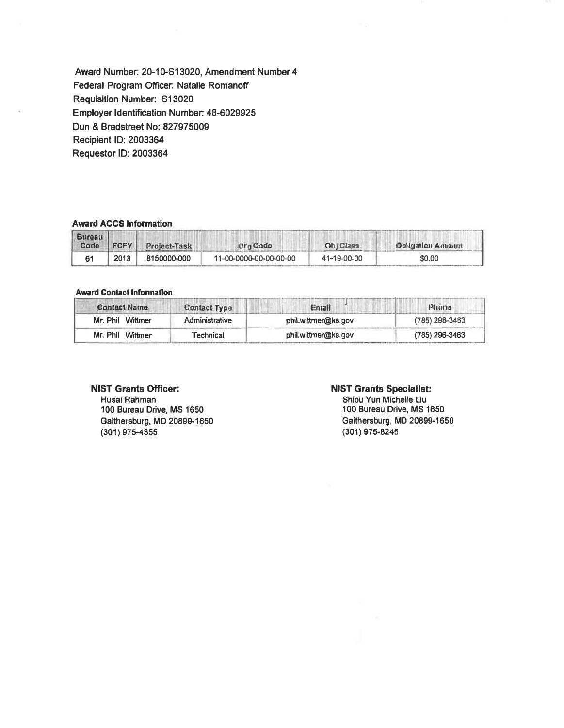Award Number: 20-10-S13020, Amendment Number 4 Federal Program Officer: Natalie Romanoff Requisition Number: S13020 **Employer Identification Number: 48-6029925** Dun & Bradstreet No: 827975009 Recipient ID: 2003364 Requestor ID: 2003364

## **Award ACCS Information**

| <b>Bureau</b> |      | Code FCFY Project-Task | <b>Org Code</b>        | Obj Class   | Dhligation Amount |
|---------------|------|------------------------|------------------------|-------------|-------------------|
|               | 2013 | 8150000-000            | 11-00-0000-00-00-00-00 | 41-19-00-00 | \$0.00            |

### **Award Contact Information**

| <b>Contact Name</b>           | <b>Contact Type.</b> | Entail              | P1002          |
|-------------------------------|----------------------|---------------------|----------------|
| Mr. Phil Wittmer              | Administrative       | phil.wittmer@ks.gov | (785) 296-3463 |
| Mr. Phil Wittmer<br>Technical |                      | phil.wittmer@ks.gov | (785) 296-3463 |

## **NIST Grants Officer:**

Husai Rahman 100 Bureau Drive, MS 1650 Gaithersburg, MD 20899-1650  $(301)$  975-4355

### **NIST Grants Specialist:**

Shiou Yun Michelle Liu 100 Bureau Drive, MS 1650 Gaithersburg, MD 20899-1650  $(301)$  975-8245